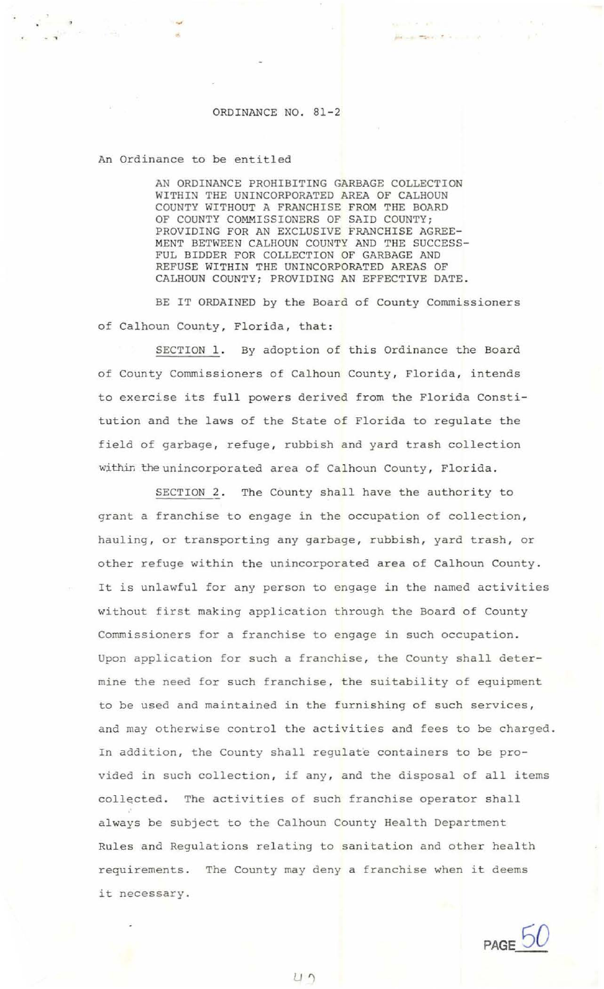## ORDINANCE NO. 81-2

. , and the contract of the contract of the contract of the contract of the contract of the contract of the contract of the contract of the contract of the contract of the contract of the contract of the contract of the c

## An Ordinance to be entitled

AN ORDINANCE PROHIBITING GARBAGE COLLECTION WITHIN THE UNINCORPORATED AREA OF CALHOUN COUNTY WITHOUT A FRANCHISE FROM THE BOARD OF COUNTY COMMISSIONERS OF SAID COUNTY; PROVIDING FOR AN EXCLUSIVE FRANCHISE AGREE-MENT BETWEEN CALHOUN COUNTY AND THE SUCCESS-FUL BIDDER FOR COLLECTION OF GARBAGE AND REFUSE WITHIN THE UNINCORPORATED AREAS OF CALHOUN COUNTY; PROVIDING AN EFFECTIVE DATE.

BE IT ORDAINED by the Board of County Commissioners of Calhoun County, Florida, that:

SECTION 1. By adoption of this Ordinance the Board of County Commissioners of Calhoun County, Florida, intends to exercise its full powers derived from the Florida Constitution and the laws of the State of Florida to regulate the field of garbage, refuge, rubbish and yard trash collection within the unincorporated area of Calhoun County, Florida.

SECTION 2. The County shall have the authority to grant a franchise to engage in the occupation of collection, hauling, or transporting any garbage, rubbish, yard trash, or other refuge within the unincorporated area of Calhoun County . It is unlawful for any person to engage in the named activities without first making application through the Board of County Commissioners for a franchise to engage in such occupation . Upon application for such a franchise, the County shall determine the need for such franchise, the suitability of equipment to be used and maintained in the furnishing of such services , and may otherwise control the activities and fees to be charged. In addition, the County shall regulate containers to be provided in such collection, if any, and the disposal of all items collected. The activities of such franchise operator shall always be subject to the Calhoun County Health Department Rules and Regulations relating to sanitation and other health requirements. The County may deny a franchise when it deems it necessary.

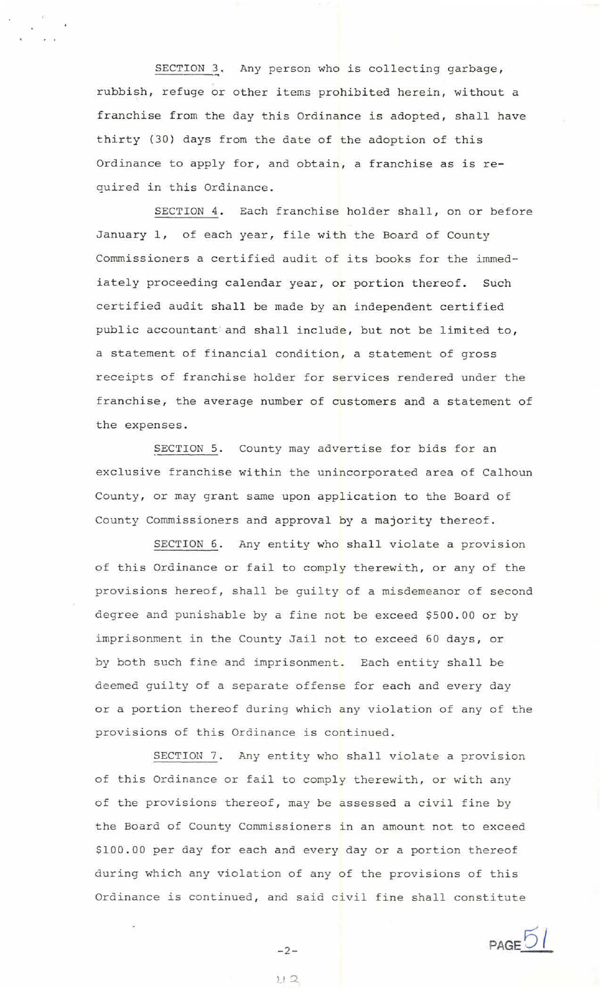SECTION 3. Any person who is collecting garbage, rubbish, refuge or other items prohibited herein, without a franchise from the day this Ordinance is adopted, shall have thirty (30) days from the date of the adoption of this Ordinance to apply for, and obtain, a franchise as is required in this Ordinance .

SECTION 4. Each franchise holder shall, on or before January 1, of each year, file with the Board of County Commissioners a certified audit of its books for the immediately proceeding calendar year, or portion thereof. Such certified audit shall be made by an independent certified public accountant and shall include, but not be limited to, a statement of financial condition, a statement of gross receipts of franchise holder for services rendered under the franchise, the average number of customers and a statement of the expenses.

SECTION 5. County may advertise for bids for an exclusive franchise within the unincorporated area of Calhoun County, or may grant same upon application to the Board of County Commissioners and approval by a majority thereof .

SECTION 6. Any entity who shall violate a provision of this Ordinance or fail to comply therewith, or any of the provisions hereof, shall be guilty of a misdemeanor of second degree and punishable by a fine not be exceed \$500 . 00 or by imprisonment in the County Jail not to exceed 60 days, or by both such fine and imprisonment. Each entity shall be deemed guilty of a separate offense for each and every day or a portion thereof during which any violation of any of the provisions of this Ordinance is continued.

SECTION 7. Any entity who shall violate a provision of this Ordinance or fail to comply therewith, or with any of the provisions thereof, may be assessed a civil fine by the Board of County Commissioners in an amount not to exceed \$100.00 per day for each and every day or a portion thereof during which any violation of any of the provisions of this Ordinance is continued, and said civil fine shall constitute



-2-  $U2$